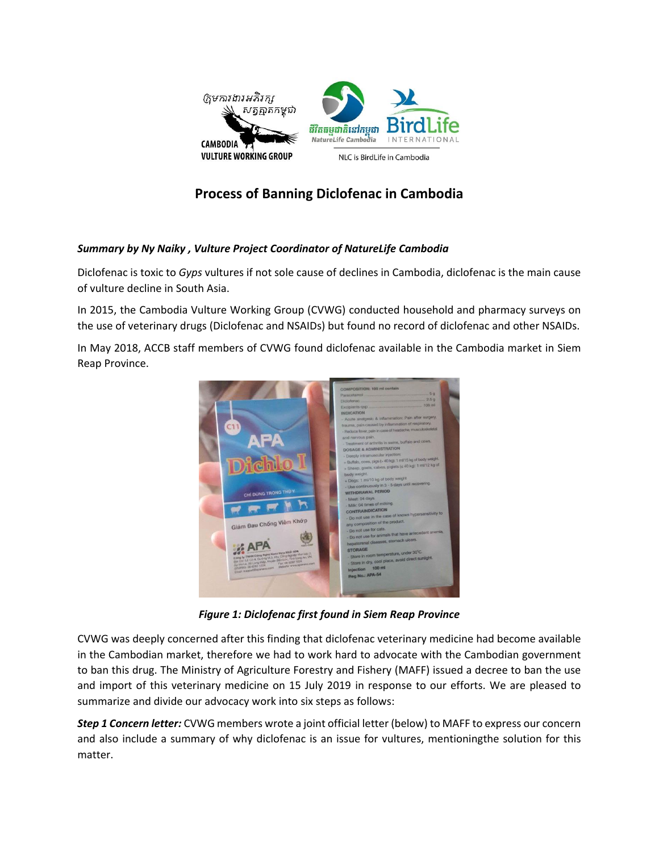

## **Process of Banning Diclofenac in Cambodia**

## *Summary by Ny Naiky , Vulture Project Coordinator of NatureLife Cambodia*

Diclofenac is toxic to *Gyps* vultures if not sole cause of declines in Cambodia, diclofenac is the main cause of vulture decline in South Asia.

In 2015, the Cambodia Vulture Working Group (CVWG) conducted household and pharmacy surveys on the use of veterinary drugs (Diclofenac and NSAIDs) but found no record of diclofenac and other NSAIDs.

In May 2018, ACCB staff members of CVWG found diclofenac available in the Cambodia market in Siem Reap Province.



*Figure 1: Diclofenac first found in Siem Reap Province*

CVWG was deeply concerned after this finding that diclofenac veterinary medicine had become available in the Cambodian market, therefore we had to work hard to advocate with the Cambodian government to ban this drug. The Ministry of Agriculture Forestry and Fishery (MAFF) issued a decree to ban the use and import of this veterinary medicine on 15 July 2019 in response to our efforts. We are pleased to summarize and divide our advocacy work into six steps as follows:

*Step 1 Concern letter:* CVWG members wrote a joint official letter (below) to MAFF to express our concern and also include a summary of why diclofenac is an issue for vultures, mentioningthe solution for this matter.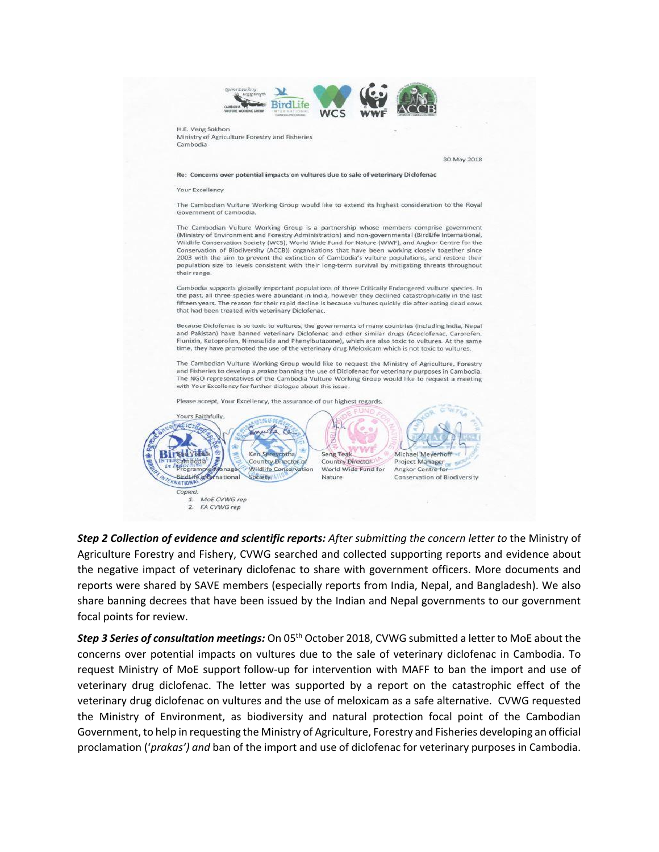

*Step 2 Collection of evidence and scientific reports: After submitting the concern letter to* the Ministry of Agriculture Forestry and Fishery, CVWG searched and collected supporting reports and evidence about the negative impact of veterinary diclofenac to share with government officers. More documents and reports were shared by SAVE members (especially reports from India, Nepal, and Bangladesh). We also share banning decrees that have been issued by the Indian and Nepal governments to our government focal points for review.

*Step 3 Series of consultation meetings:* On 05<sup>th</sup> October 2018, CVWG submitted a letter to MoE about the concerns over potential impacts on vultures due to the sale of veterinary diclofenac in Cambodia. To request Ministry of MoE support follow-up for intervention with MAFF to ban the import and use of veterinary drug diclofenac. The letter was supported by a report on the catastrophic effect of the veterinary drug diclofenac on vultures and the use of meloxicam as a safe alternative. CVWG requested the Ministry of Environment, as biodiversity and natural protection focal point of the Cambodian Government, to help in requesting the Ministry of Agriculture, Forestry and Fisheries developing an official proclamation ('*prakas') and* ban of the import and use of diclofenac for veterinary purposes in Cambodia.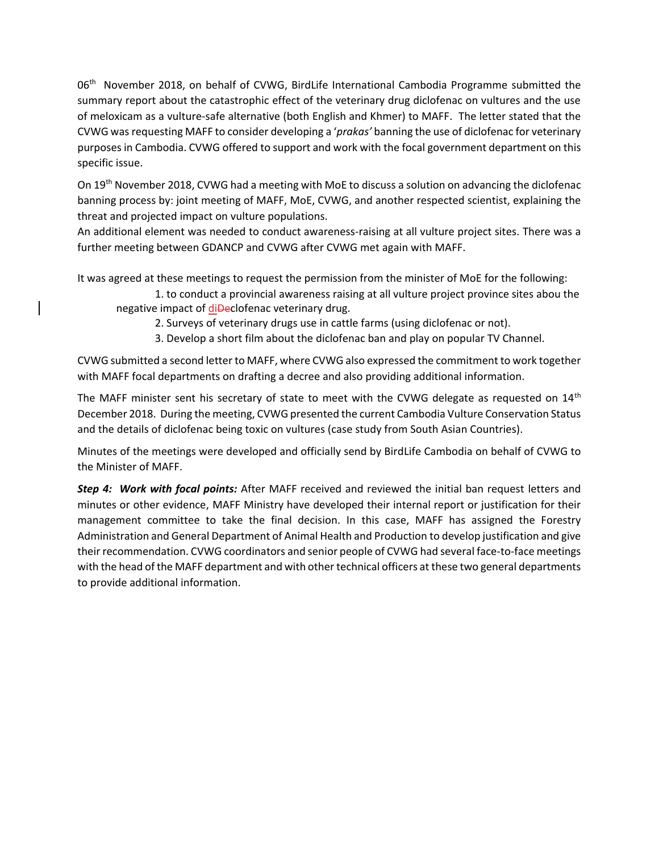06<sup>th</sup> November 2018, on behalf of CVWG, BirdLife International Cambodia Programme submitted the summary report about the catastrophic effect of the veterinary drug diclofenac on vultures and the use of meloxicam as a vulture-safe alternative (both English and Khmer) to MAFF. The letter stated that the CVWG was requesting MAFF to consider developing a '*prakas'* banning the use of diclofenac for veterinary purposes in Cambodia. CVWG offered to support and work with the focal government department on this specific issue.

On 19th November 2018, CVWG had a meeting with MoE to discuss a solution on advancing the diclofenac banning process by: joint meeting of MAFF, MoE, CVWG, and another respected scientist, explaining the threat and projected impact on vulture populations.

An additional element was needed to conduct awareness-raising at all vulture project sites. There was a further meeting between GDANCP and CVWG after CVWG met again with MAFF.

It was agreed at these meetings to request the permission from the minister of MoE for the following:

1. to conduct a provincial awareness raising at all vulture project province sites abou the negative impact of di**Declofenac veterinary drug.** 

2. Surveys of veterinary drugs use in cattle farms (using diclofenac or not).

3. Develop a short film about the diclofenac ban and play on popular TV Channel.

CVWG submitted a second letter to MAFF, where CVWG also expressed the commitment to work together with MAFF focal departments on drafting a decree and also providing additional information.

The MAFF minister sent his secretary of state to meet with the CVWG delegate as requested on  $14<sup>th</sup>$ December 2018. During the meeting, CVWG presented the current Cambodia Vulture Conservation Status and the details of diclofenac being toxic on vultures (case study from South Asian Countries).

Minutes of the meetings were developed and officially send by BirdLife Cambodia on behalf of CVWG to the Minister of MAFF.

*Step 4: Work with focal points:* After MAFF received and reviewed the initial ban request letters and minutes or other evidence, MAFF Ministry have developed their internal report or justification for their management committee to take the final decision. In this case, MAFF has assigned the Forestry Administration and General Department of Animal Health and Production to develop justification and give their recommendation. CVWG coordinators and senior people of CVWG had several face-to-face meetings with the head of the MAFF department and with other technical officers at these two general departments to provide additional information.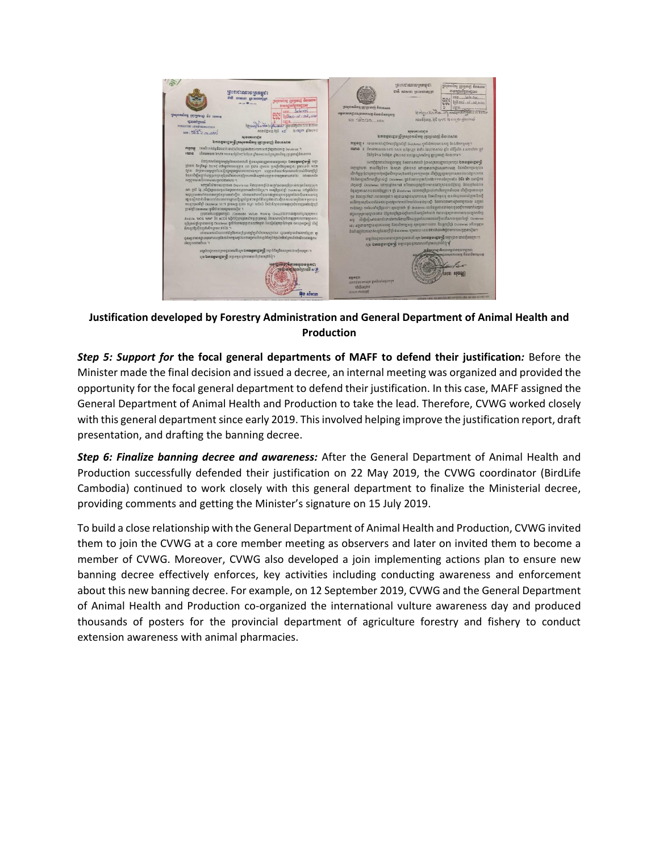

**Justification developed by Forestry Administration and General Department of Animal Health and Production**

*Step 5: Support for* **the focal general departments of MAFF to defend their justification***:* Before the Minister made the final decision and issued a decree, an internal meeting was organized and provided the opportunity for the focal general department to defend their justification. In this case, MAFF assigned the General Department of Animal Health and Production to take the lead. Therefore, CVWG worked closely with this general department since early 2019. This involved helping improve the justification report, draft presentation, and drafting the banning decree.

*Step 6: Finalize banning decree and awareness:* After the General Department of Animal Health and Production successfully defended their justification on 22 May 2019, the CVWG coordinator (BirdLife Cambodia) continued to work closely with this general department to finalize the Ministerial decree, providing comments and getting the Minister's signature on 15 July 2019.

To build a close relationship with the General Department of Animal Health and Production, CVWG invited them to join the CVWG at a core member meeting as observers and later on invited them to become a member of CVWG. Moreover, CVWG also developed a join implementing actions plan to ensure new banning decree effectively enforces, key activities including conducting awareness and enforcement about this new banning decree. For example, on 12 September 2019, CVWG and the General Department of Animal Health and Production co-organized the international vulture awareness day and produced thousands of posters for the provincial department of agriculture forestry and fishery to conduct extension awareness with animal pharmacies.